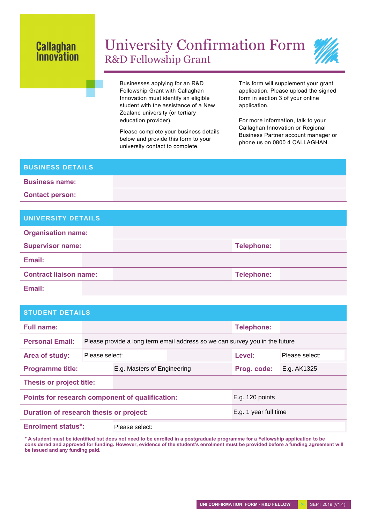## **Callaghan Innovation**

## University Confirmation Form R&D Fellowship Grant



Businesses applying for an R&D Fellowship Grant with Callaghan Innovation must identify an eligible student with the assistance of a New Zealand university (or tertiary education provider).

Please complete your business details below and provide this form to your university contact to complete.

This form will supplement your grant application. Please upload the signed form in section 3 of your online application.

For more information, talk to your Callaghan Innovation or Regional Business Partner account manager or phone us on 0800 4 CALLAGHAN.

## **BUSINESS DETAILS Business name: Contact person:**

| UNIVERSITY DETAILS            |                   |  |
|-------------------------------|-------------------|--|
| <b>Organisation name:</b>     |                   |  |
| <b>Supervisor name:</b>       | <b>Telephone:</b> |  |
| Email:                        |                   |  |
| <b>Contract liaison name:</b> | <b>Telephone:</b> |  |
|                               |                   |  |

**Email:**

## **STUDENT DETAILS**

| <b>Full name:</b>                               |                                                                             |                             |                       | <b>Telephone:</b> |                |
|-------------------------------------------------|-----------------------------------------------------------------------------|-----------------------------|-----------------------|-------------------|----------------|
| <b>Personal Email:</b>                          | Please provide a long term email address so we can survey you in the future |                             |                       |                   |                |
| Area of study:                                  | Please select:                                                              |                             |                       | Level:            | Please select: |
| <b>Programme title:</b>                         |                                                                             | E.g. Masters of Engineering |                       | Prog. code:       | E.g. AK1325    |
| Thesis or project title:                        |                                                                             |                             |                       |                   |                |
| Points for research component of qualification: |                                                                             |                             | E.g. 120 points       |                   |                |
| Duration of research thesis or project:         |                                                                             |                             | E.g. 1 year full time |                   |                |
| <b>Enrolment status*:</b>                       |                                                                             | Please select:              |                       |                   |                |
|                                                 |                                                                             |                             |                       |                   |                |

**\* A student must be identified but does not need to be enrolled in a postgraduate programme for a Fellowship application to be considered and approved for funding. However, evidence of the student's enrolment must be provided before a funding agreement will be issued and any funding paid.**